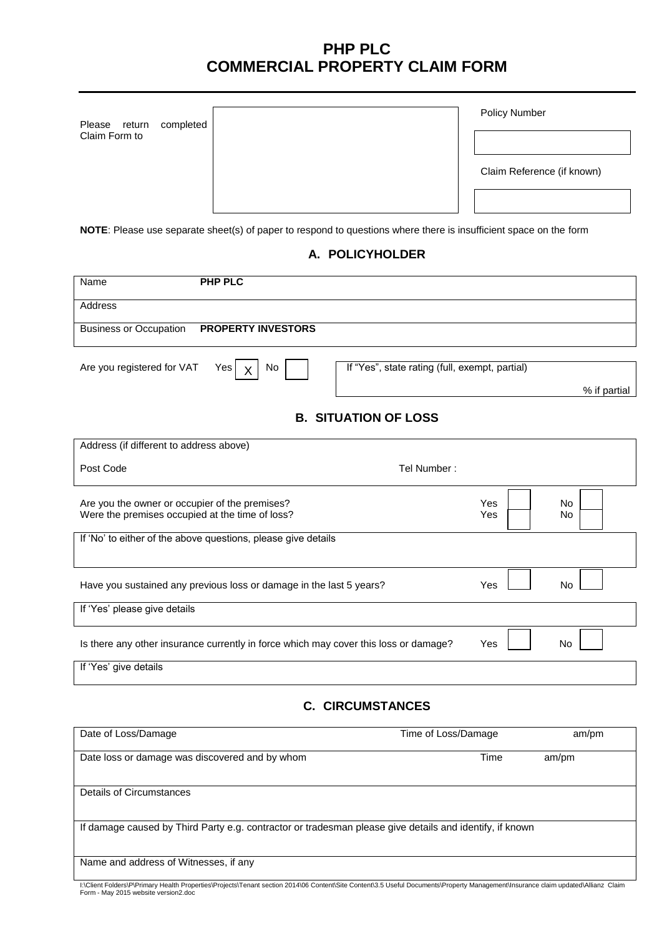## **PHP PLC COMMERCIAL PROPERTY CLAIM FORM**

| Please        | return | completed |
|---------------|--------|-----------|
| Claim Form to |        |           |

|  | <b>Policy Number</b> |
|--|----------------------|
|--|----------------------|

Claim Reference (if known)

**NOTE**: Please use separate sheet(s) of paper to respond to questions where there is insufficient space on the form

## **A. POLICYHOLDER**

| <b>PHP PLC</b><br>Name                                                                            |                                                |            |                        |
|---------------------------------------------------------------------------------------------------|------------------------------------------------|------------|------------------------|
| Address                                                                                           |                                                |            |                        |
| <b>Business or Occupation</b><br><b>PROPERTY INVESTORS</b>                                        |                                                |            |                        |
| Are you registered for VAT<br>Yes<br>No<br>X                                                      | If "Yes", state rating (full, exempt, partial) |            | % if partial           |
|                                                                                                   | <b>B. SITUATION OF LOSS</b>                    |            |                        |
| Address (if different to address above)                                                           |                                                |            |                        |
| Post Code                                                                                         | Tel Number:                                    |            |                        |
| Are you the owner or occupier of the premises?<br>Were the premises occupied at the time of loss? |                                                | Yes<br>Yes | <b>No</b><br><b>No</b> |
| If 'No' to either of the above questions, please give details                                     |                                                |            |                        |
| Have you sustained any previous loss or damage in the last 5 years?                               |                                                | Yes        | <b>No</b>              |
| If 'Yes' please give details                                                                      |                                                |            |                        |
| Is there any other insurance currently in force which may cover this loss or damage?              |                                                | Yes        | <b>No</b>              |
| If 'Yes' give details                                                                             |                                                |            |                        |

**C. CIRCUMSTANCES**

| Date of Loss/Damage                                                                                     | Time of Loss/Damage | am/pm |  |
|---------------------------------------------------------------------------------------------------------|---------------------|-------|--|
| Date loss or damage was discovered and by whom                                                          | Time                | am/pm |  |
| Details of Circumstances                                                                                |                     |       |  |
| If damage caused by Third Party e.g. contractor or tradesman please give details and identify, if known |                     |       |  |
| Name and address of Witnesses, if any                                                                   |                     |       |  |

I:∖Client Folders∖P\Primary Health Properties\Projects\Tenant section 2014\06 Content\Site Content\3.5 Useful Documents\Property Management\Insurance claim updated\Allianz Claim<br>Form - May 2015 website version2.doc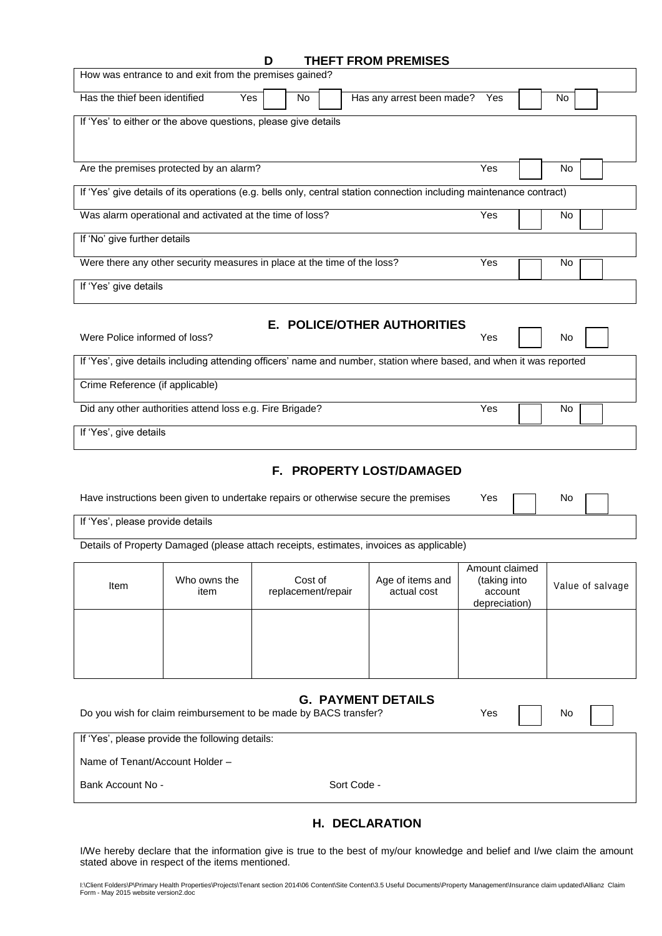| <b>THEFT FROM PREMISES</b> |  |  |
|----------------------------|--|--|

|                                  | How was entrance to and exit from the premises gained?                             |                               |             | <u>IMEFI FRUM PREMISES</u>                                                                                                                          |                                                            |    |                  |  |
|----------------------------------|------------------------------------------------------------------------------------|-------------------------------|-------------|-----------------------------------------------------------------------------------------------------------------------------------------------------|------------------------------------------------------------|----|------------------|--|
| Has the thief been identified    | Yes                                                                                | No                            |             | Has any arrest been made?                                                                                                                           | Yes                                                        | No |                  |  |
|                                  | If 'Yes' to either or the above questions, please give details                     |                               |             |                                                                                                                                                     |                                                            |    |                  |  |
|                                  | Are the premises protected by an alarm?                                            |                               |             |                                                                                                                                                     | Yes                                                        | No |                  |  |
|                                  |                                                                                    |                               |             | If 'Yes' give details of its operations (e.g. bells only, central station connection including maintenance contract)                                |                                                            |    |                  |  |
|                                  | Was alarm operational and activated at the time of loss?                           |                               |             |                                                                                                                                                     | Yes                                                        | No |                  |  |
| If 'No' give further details     |                                                                                    |                               |             |                                                                                                                                                     |                                                            |    |                  |  |
|                                  | Were there any other security measures in place at the time of the loss?           |                               |             |                                                                                                                                                     | Yes                                                        | No |                  |  |
| If 'Yes' give details            |                                                                                    |                               |             |                                                                                                                                                     |                                                            |    |                  |  |
| Were Police informed of loss?    |                                                                                    |                               |             | E. POLICE/OTHER AUTHORITIES<br>If 'Yes', give details including attending officers' name and number, station where based, and when it was reported  | Yes                                                        | No |                  |  |
| Crime Reference (if applicable)  |                                                                                    |                               |             |                                                                                                                                                     |                                                            |    |                  |  |
|                                  | Did any other authorities attend loss e.g. Fire Brigade?                           |                               |             |                                                                                                                                                     | Yes                                                        | No |                  |  |
| If 'Yes', give details           |                                                                                    |                               |             |                                                                                                                                                     |                                                            |    |                  |  |
| If 'Yes', please provide details | Have instructions been given to undertake repairs or otherwise secure the premises |                               |             | F. PROPERTY LOST/DAMAGED                                                                                                                            | Yes                                                        | No |                  |  |
|                                  |                                                                                    |                               |             | Details of Property Damaged (please attach receipts, estimates, invoices as applicable)                                                             |                                                            |    |                  |  |
| Item                             | Who owns the<br>item                                                               | Cost of<br>replacement/repair |             | Age of items and<br>actual cost                                                                                                                     | Amount claimed<br>(taking into<br>account<br>depreciation) |    | Value of salvage |  |
|                                  |                                                                                    |                               |             |                                                                                                                                                     |                                                            |    |                  |  |
|                                  | Do you wish for claim reimbursement to be made by BACS transfer?                   |                               |             | <b>G. PAYMENT DETAILS</b>                                                                                                                           | Yes                                                        | No |                  |  |
|                                  | If 'Yes', please provide the following details:                                    |                               |             |                                                                                                                                                     |                                                            |    |                  |  |
| Name of Tenant/Account Holder -  |                                                                                    |                               |             |                                                                                                                                                     |                                                            |    |                  |  |
| Bank Account No -                |                                                                                    |                               | Sort Code - |                                                                                                                                                     |                                                            |    |                  |  |
|                                  |                                                                                    |                               |             | <b>H. DECLARATION</b><br>I/We hereby declare that the information give is true to the best of my/our knowledge and belief and I/we claim the amount |                                                            |    |                  |  |

I:∖Client Folders∖P\Primary Health Properties\Projects\Tenant section 2014\06 Content\Site Content\3.5 Useful Documents\Property Management\Insurance claim updated\Allianz Claim<br>Form - May 2015 website version2.doc

stated above in respect of the items mentioned.